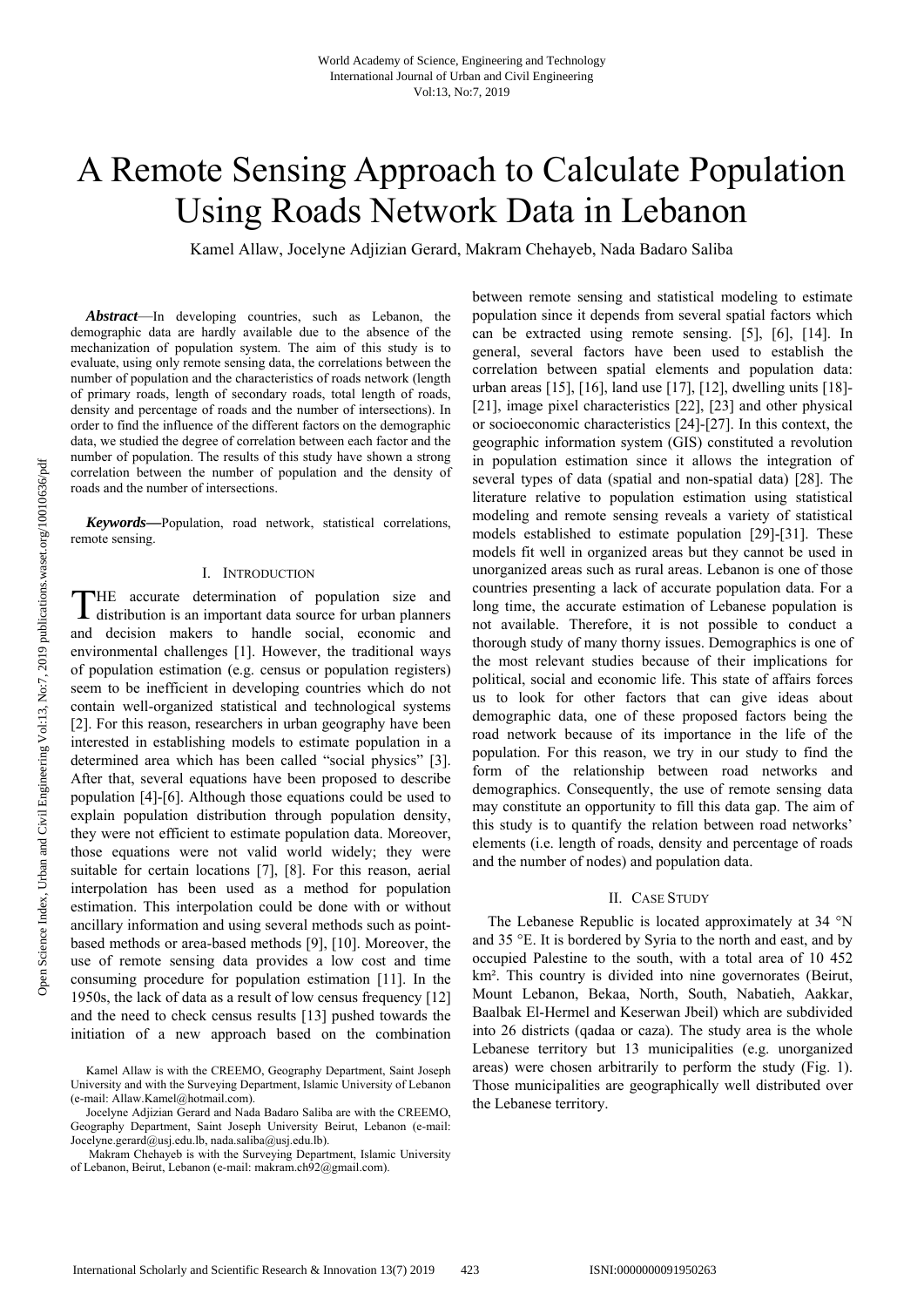# A Remote Sensing Approach to Calculate Population Using Roads Network Data in Lebanon

Kamel Allaw, Jocelyne Adjizian Gerard, Makram Chehayeb, Nada Badaro Saliba

*Abstract*—In developing countries, such as Lebanon, the demographic data are hardly available due to the absence of the mechanization of population system. The aim of this study is to evaluate, using only remote sensing data, the correlations between the number of population and the characteristics of roads network (length of primary roads, length of secondary roads, total length of roads, density and percentage of roads and the number of intersections). In order to find the influence of the different factors on the demographic data, we studied the degree of correlation between each factor and the number of population. The results of this study have shown a strong correlation between the number of population and the density of roads and the number of intersections.

*Keywords—*Population, road network, statistical correlations, remote sensing.

#### I. INTRODUCTION

HE accurate determination of population size and THE accurate determination of population size and distribution is an important data source for urban planners and decision makers to handle social, economic and environmental challenges [1]. However, the traditional ways of population estimation (e.g. census or population registers) seem to be inefficient in developing countries which do not contain well-organized statistical and technological systems [2]. For this reason, researchers in urban geography have been interested in establishing models to estimate population in a determined area which has been called "social physics" [3]. After that, several equations have been proposed to describe population [4]-[6]. Although those equations could be used to explain population distribution through population density, they were not efficient to estimate population data. Moreover, those equations were not valid world widely; they were suitable for certain locations [7], [8]. For this reason, aerial interpolation has been used as a method for population estimation. This interpolation could be done with or without ancillary information and using several methods such as pointbased methods or area-based methods [9], [10]. Moreover, the use of remote sensing data provides a low cost and time consuming procedure for population estimation [11]. In the 1950s, the lack of data as a result of low census frequency [12] and the need to check census results [13] pushed towards the initiation of a new approach based on the combination

between remote sensing and statistical modeling to estimate population since it depends from several spatial factors which can be extracted using remote sensing. [5], [6], [14]. In general, several factors have been used to establish the correlation between spatial elements and population data: urban areas [15], [16], land use [17], [12], dwelling units [18]- [21], image pixel characteristics [22], [23] and other physical or socioeconomic characteristics [24]-[27]. In this context, the geographic information system (GIS) constituted a revolution in population estimation since it allows the integration of several types of data (spatial and non-spatial data) [28]. The literature relative to population estimation using statistical modeling and remote sensing reveals a variety of statistical models established to estimate population [29]-[31]. These models fit well in organized areas but they cannot be used in unorganized areas such as rural areas. Lebanon is one of those countries presenting a lack of accurate population data. For a long time, the accurate estimation of Lebanese population is not available. Therefore, it is not possible to conduct a thorough study of many thorny issues. Demographics is one of the most relevant studies because of their implications for political, social and economic life. This state of affairs forces us to look for other factors that can give ideas about demographic data, one of these proposed factors being the road network because of its importance in the life of the population. For this reason, we try in our study to find the form of the relationship between road networks and demographics. Consequently, the use of remote sensing data may constitute an opportunity to fill this data gap. The aim of this study is to quantify the relation between road networks' elements (i.e. length of roads, density and percentage of roads and the number of nodes) and population data.

#### II. CASE STUDY

The Lebanese Republic is located approximately at 34 °N and 35 °E. It is bordered by Syria to the north and east, and by occupied Palestine to the south, with a total area of 10 452 km². This country is divided into nine governorates (Beirut, Mount Lebanon, Bekaa, North, South, Nabatieh, Aakkar, Baalbak El-Hermel and Keserwan Jbeil) which are subdivided into 26 districts (qadaa or caza). The study area is the whole Lebanese territory but 13 municipalities (e.g. unorganized areas) were chosen arbitrarily to perform the study (Fig. 1). Those municipalities are geographically well distributed over the Lebanese territory.

Kamel Allaw is with the CREEMO, Geography Department, Saint Joseph University and with the Surveying Department, Islamic University of Lebanon (e-mail: Allaw.Kamel@hotmail.com).

Jocelyne Adjizian Gerard and Nada Badaro Saliba are with the CREEMO, Geography Department, Saint Joseph University Beirut, Lebanon (e-mail: Jocelyne.gerard@usj.edu.lb, nada.saliba@usj.edu.lb).

Makram Chehayeb is with the Surveying Department, Islamic University of Lebanon, Beirut, Lebanon (e-mail: makram.ch92@gmail.com).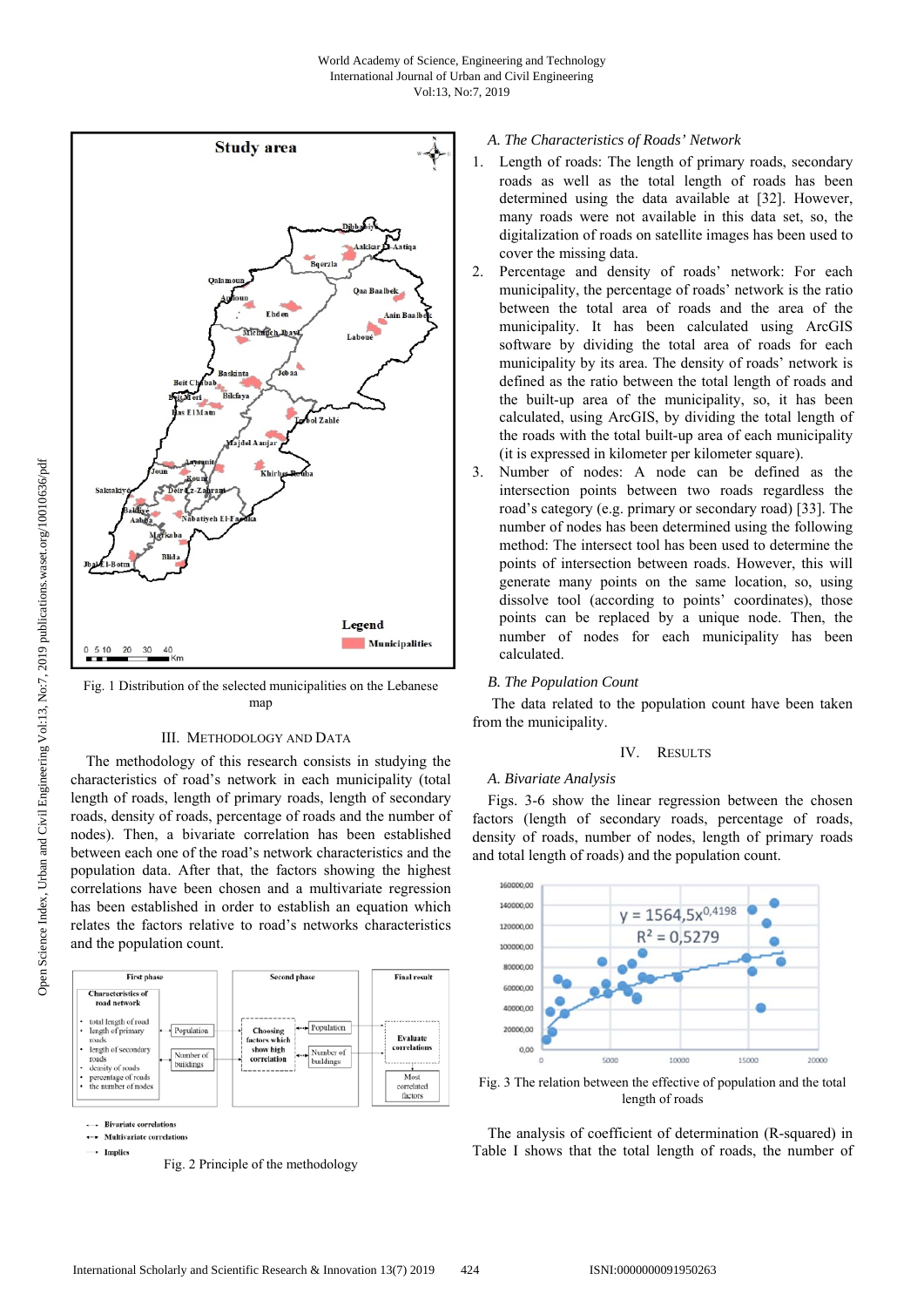

Fig. 1 Distribution of the selected municipalities on the Lebanese man

# III. METHODOLOGY AND DATA

The methodology of this research consists in studying the characteristics of road's network in each municipality (total length of roads, length of primary roads, length of secondary roads, density of roads, percentage of roads and the number of nodes). Then, a bivariate correlation has been established between each one of the road's network characteristics and the population data. After that, the factors showing the highest correlations have been chosen and a multivariate regression has been established in order to establish an equation which relates the factors relative to road's networks characteristics and the population count.





## *A. The Characteristics of Roads' Network*

- 1. Length of roads: The length of primary roads, secondary roads as well as the total length of roads has been determined using the data available at [32]. However, many roads were not available in this data set, so, the digitalization of roads on satellite images has been used to cover the missing data.
- 2. Percentage and density of roads' network: For each municipality, the percentage of roads' network is the ratio between the total area of roads and the area of the municipality. It has been calculated using ArcGIS software by dividing the total area of roads for each municipality by its area. The density of roads' network is defined as the ratio between the total length of roads and the built-up area of the municipality, so, it has been calculated, using ArcGIS, by dividing the total length of the roads with the total built-up area of each municipality (it is expressed in kilometer per kilometer square).
- 3. Number of nodes: A node can be defined as the intersection points between two roads regardless the road's category (e.g. primary or secondary road) [33]. The number of nodes has been determined using the following method: The intersect tool has been used to determine the points of intersection between roads. However, this will generate many points on the same location, so, using dissolve tool (according to points' coordinates), those points can be replaced by a unique node. Then, the number of nodes for each municipality has been calculated.

## *B. The Population Count*

 The data related to the population count have been taken from the municipality.

## IV. RESULTS

#### *A. Bivariate Analysis*

Figs. 3-6 show the linear regression between the chosen factors (length of secondary roads, percentage of roads, density of roads, number of nodes, length of primary roads and total length of roads) and the population count.



Fig. 3 The relation between the effective of population and the total length of roads

The analysis of coefficient of determination (R-squared) in Table I shows that the total length of roads, the number of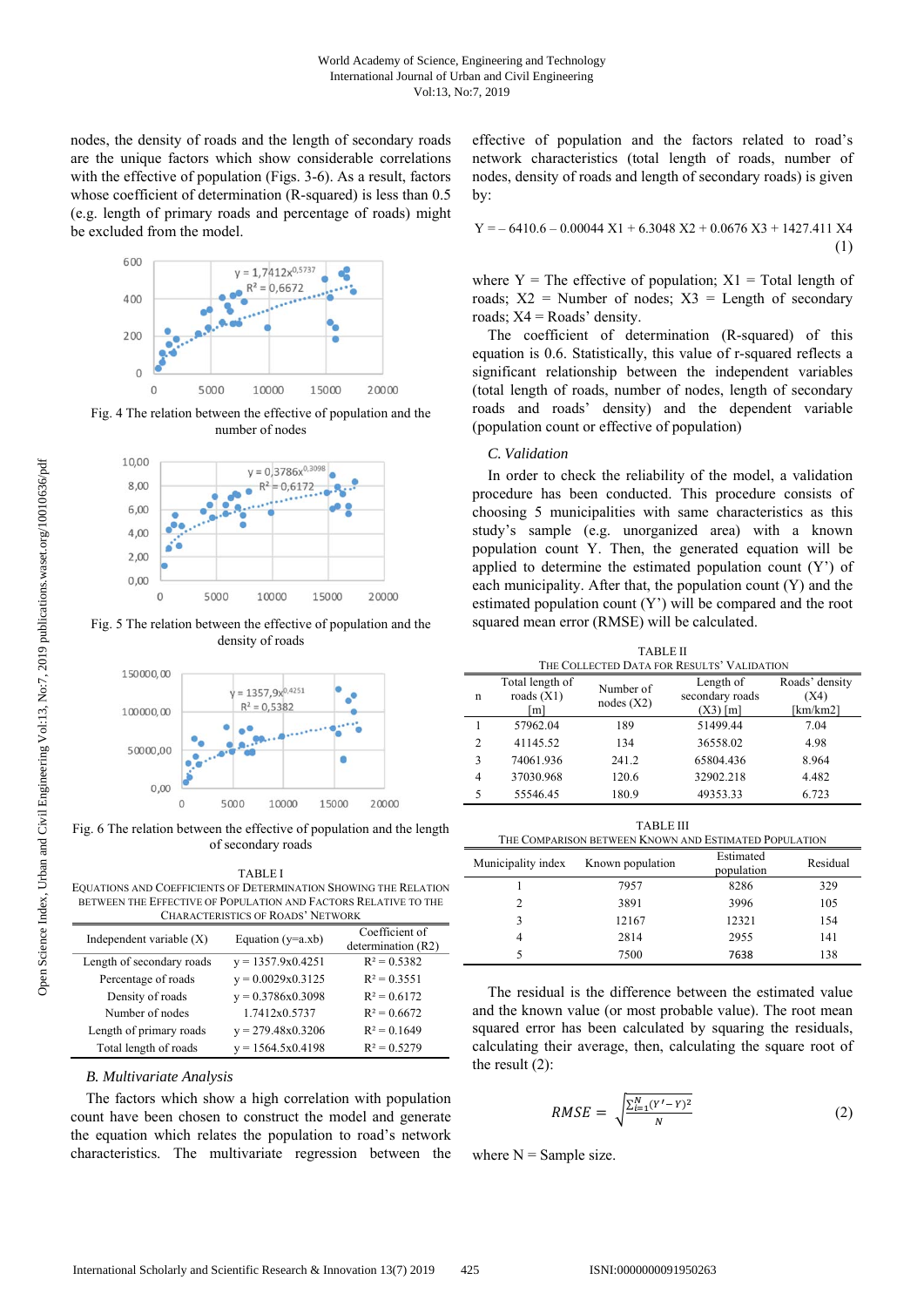nodes, the density of roads and the length of secondary roads are the unique factors which show considerable correlations with the effective of population (Figs. 3-6). As a result, factors whose coefficient of determination (R-squared) is less than 0.5 (e.g. length of primary roads and percentage of roads) might be excluded from the model.



Fig. 4 The relation between the effective of population and the number of nodes



Fig. 5 The relation between the effective of population and the density of roads



Fig. 6 The relation between the effective of population and the length of secondary roads

TABLE I EQUATIONS AND COEFFICIENTS OF DETERMINATION SHOWING THE RELATION BETWEEN THE EFFECTIVE OF POPULATION AND FACTORS RELATIVE TO THE  $CP$   $DQ$  +  $DQ$ <sup>2</sup>

| CHARACTERISTICS OF INOADS THET WORK |                     |                                      |  |  |  |
|-------------------------------------|---------------------|--------------------------------------|--|--|--|
| Independent variable $(X)$          | Equation $(y=a.xb)$ | Coefficient of<br>determination (R2) |  |  |  |
| Length of secondary roads           | $y = 1357.9x0.4251$ | $R^2 = 0.5382$                       |  |  |  |
| Percentage of roads                 | $y = 0.0029x0.3125$ | $R^2 = 0.3551$                       |  |  |  |
| Density of roads                    | $y = 0.3786x0.3098$ | $R^2 = 0.6172$                       |  |  |  |
| Number of nodes                     | 1.7412x0.5737       | $R^2 = 0.6672$                       |  |  |  |
| Length of primary roads             | $y = 279.48x0.3206$ | $R^2 = 0.1649$                       |  |  |  |
| Total length of roads               | $y = 1564.5x0.4198$ | $R^2 = 0.5279$                       |  |  |  |

#### *B. Multivariate Analysis*

The factors which show a high correlation with population count have been chosen to construct the model and generate the equation which relates the population to road's network characteristics. The multivariate regression between the effective of population and the factors related to road's network characteristics (total length of roads, number of nodes, density of roads and length of secondary roads) is given by:

$$
Y = -6410.6 - 0.00044 X1 + 6.3048 X2 + 0.0676 X3 + 1427.411 X4
$$

$$
(1)
$$

where  $Y =$  The effective of population;  $X1 =$  Total length of roads;  $X2 =$  Number of nodes;  $X3 =$  Length of secondary roads;  $X4 = Roads'$  density.

The coefficient of determination (R-squared) of this equation is 0.6. Statistically, this value of r-squared reflects a significant relationship between the independent variables (total length of roads, number of nodes, length of secondary roads and roads' density) and the dependent variable (population count or effective of population)

### *C. Validation*

In order to check the reliability of the model, a validation procedure has been conducted. This procedure consists of choosing 5 municipalities with same characteristics as this study's sample (e.g. unorganized area) with a known population count Y. Then, the generated equation will be applied to determine the estimated population count (Y') of each municipality. After that, the population count (Y) and the estimated population count (Y') will be compared and the root squared mean error (RMSE) will be calculated.

TABLE II

| THE COLLECTED DATA FOR RESULTS' VALIDATION |                                        |                        |                                            |                                        |  |  |
|--------------------------------------------|----------------------------------------|------------------------|--------------------------------------------|----------------------------------------|--|--|
| n                                          | Total length of<br>roads $(X1)$<br>[m] | Number of<br>nodes(X2) | Length of<br>secondary roads<br>$(X3)$ [m] | Roads' density<br>(X4)<br>[ $km/km2$ ] |  |  |
|                                            | 57962.04                               | 189                    | 51499.44                                   | 7.04                                   |  |  |
| 2                                          | 41145.52                               | 134                    | 36558.02                                   | 4.98                                   |  |  |
| 3                                          | 74061.936                              | 241.2                  | 65804.436                                  | 8.964                                  |  |  |
| 4                                          | 37030.968                              | 120.6                  | 32902.218                                  | 4.482                                  |  |  |
| 5                                          | 55546.45                               | 180.9                  | 49353.33                                   | 6.723                                  |  |  |

| TABLE III<br>THE COMPARISON BETWEEN KNOWN AND ESTIMATED POPULATION |                  |                         |          |  |  |
|--------------------------------------------------------------------|------------------|-------------------------|----------|--|--|
| Municipality index                                                 | Known population | Estimated<br>population | Residual |  |  |
|                                                                    | 7957             | 8286                    | 329      |  |  |
| 2                                                                  | 3891             | 3996                    | 105      |  |  |
| 3                                                                  | 12167            | 12321                   | 154      |  |  |
|                                                                    | 2814             | 2955                    | 141      |  |  |
|                                                                    | 7500             | 7638                    | 138      |  |  |

The residual is the difference between the estimated value and the known value (or most probable value). The root mean squared error has been calculated by squaring the residuals, calculating their average, then, calculating the square root of the result (2):

$$
RMSE = \sqrt{\frac{\sum_{i=1}^{N} (Y' - Y)^2}{N}}
$$
 (2)

where  $N =$  Sample size.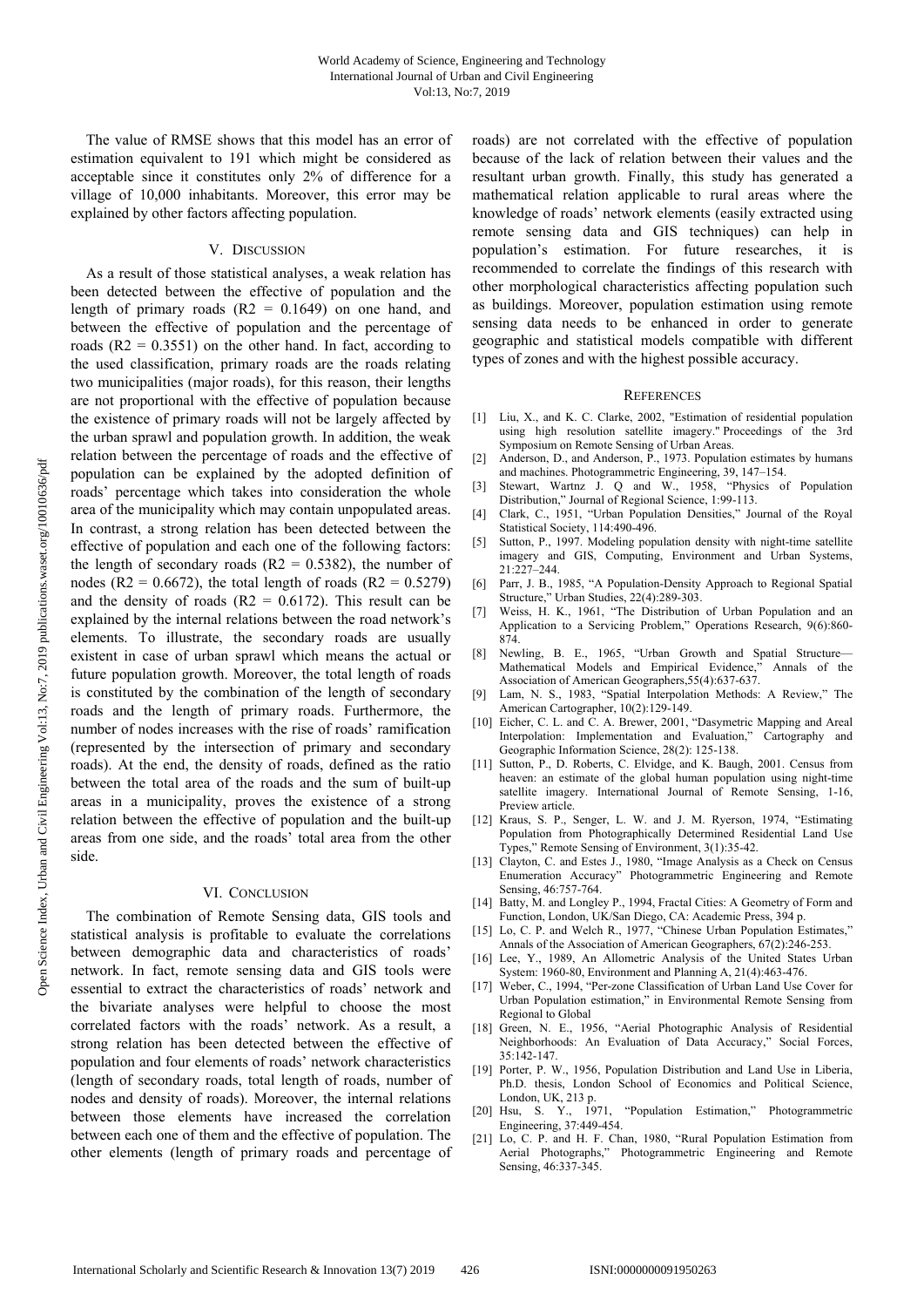The value of RMSE shows that this model has an error of estimation equivalent to 191 which might be considered as acceptable since it constitutes only 2% of difference for a village of 10,000 inhabitants. Moreover, this error may be explained by other factors affecting population.

# V. DISCUSSION

As a result of those statistical analyses, a weak relation has been detected between the effective of population and the length of primary roads  $(R2 = 0.1649)$  on one hand, and between the effective of population and the percentage of roads  $(R2 = 0.3551)$  on the other hand. In fact, according to the used classification, primary roads are the roads relating two municipalities (major roads), for this reason, their lengths are not proportional with the effective of population because the existence of primary roads will not be largely affected by the urban sprawl and population growth. In addition, the weak relation between the percentage of roads and the effective of population can be explained by the adopted definition of roads' percentage which takes into consideration the whole area of the municipality which may contain unpopulated areas. In contrast, a strong relation has been detected between the effective of population and each one of the following factors: the length of secondary roads  $(R2 = 0.5382)$ , the number of nodes (R2 = 0.6672), the total length of roads (R2 = 0.5279) and the density of roads  $(R2 = 0.6172)$ . This result can be explained by the internal relations between the road network's elements. To illustrate, the secondary roads are usually existent in case of urban sprawl which means the actual or future population growth. Moreover, the total length of roads is constituted by the combination of the length of secondary roads and the length of primary roads. Furthermore, the number of nodes increases with the rise of roads' ramification (represented by the intersection of primary and secondary roads). At the end, the density of roads, defined as the ratio between the total area of the roads and the sum of built-up areas in a municipality, proves the existence of a strong relation between the effective of population and the built-up areas from one side, and the roads' total area from the other side.

#### VI. CONCLUSION

The combination of Remote Sensing data, GIS tools and statistical analysis is profitable to evaluate the correlations between demographic data and characteristics of roads' network. In fact, remote sensing data and GIS tools were essential to extract the characteristics of roads' network and the bivariate analyses were helpful to choose the most correlated factors with the roads' network. As a result, a strong relation has been detected between the effective of population and four elements of roads' network characteristics (length of secondary roads, total length of roads, number of nodes and density of roads). Moreover, the internal relations between those elements have increased the correlation between each one of them and the effective of population. The other elements (length of primary roads and percentage of

roads) are not correlated with the effective of population because of the lack of relation between their values and the resultant urban growth. Finally, this study has generated a mathematical relation applicable to rural areas where the knowledge of roads' network elements (easily extracted using remote sensing data and GIS techniques) can help in population's estimation. For future researches, it is recommended to correlate the findings of this research with other morphological characteristics affecting population such as buildings. Moreover, population estimation using remote sensing data needs to be enhanced in order to generate geographic and statistical models compatible with different types of zones and with the highest possible accuracy.

#### **REFERENCES**

- [1] Liu, X., and K. C. Clarke, 2002, "Estimation of residential population using high resolution satellite imagery." Proceedings of the 3rd Symposium on Remote Sensing of Urban Areas.
- [2] Anderson, D., and Anderson, P., 1973. Population estimates by humans and machines. Photogrammetric Engineering, 39, 147–154.
- [3] Stewart, Wartnz J. Q and W., 1958, "Physics of Population Distribution," Journal of Regional Science, 1:99-113.
- [4] Clark, C., 1951, "Urban Population Densities," Journal of the Royal Statistical Society, 114:490-496.
- [5] Sutton, P., 1997. Modeling population density with night-time satellite imagery and GIS, Computing, Environment and Urban Systems, 21:227–244.
- [6] Parr, J. B., 1985, "A Population-Density Approach to Regional Spatial Structure," Urban Studies, 22(4):289-303.
- [7] Weiss, H. K., 1961, "The Distribution of Urban Population and an Application to a Servicing Problem," Operations Research, 9(6):860- 874.
- [8] Newling, B. E., 1965, "Urban Growth and Spatial Structure— Mathematical Models and Empirical Evidence," Annals of the Association of American Geographers,55(4):637-637.
- [9] Lam, N. S., 1983, "Spatial Interpolation Methods: A Review," The American Cartographer, 10(2):129-149.
- [10] Eicher, C. L. and C. A. Brewer, 2001, "Dasymetric Mapping and Areal Interpolation: Implementation and Evaluation," Cartography and Geographic Information Science, 28(2): 125-138.
- [11] Sutton, P., D. Roberts, C. Elvidge, and K. Baugh, 2001. Census from heaven: an estimate of the global human population using night-time satellite imagery. International Journal of Remote Sensing, 1-16, Preview article.
- [12] Kraus, S. P., Senger, L. W. and J. M. Ryerson, 1974, "Estimating Population from Photographically Determined Residential Land Use Types," Remote Sensing of Environment, 3(1):35-42.
- [13] Clayton, C. and Estes J., 1980, "Image Analysis as a Check on Census Enumeration Accuracy" Photogrammetric Engineering and Remote Sensing, 46:757-764.
- [14] Batty, M. and Longley P., 1994, Fractal Cities: A Geometry of Form and Function, London, UK/San Diego, CA: Academic Press, 394 p.
- [15] Lo, C. P. and Welch R., 1977, "Chinese Urban Population Estimates," Annals of the Association of American Geographers, 67(2):246-253.
- [16] Lee, Y., 1989, An Allometric Analysis of the United States Urban System: 1960-80, Environment and Planning A, 21(4):463-476.
- [17] Weber, C., 1994, "Per-zone Classification of Urban Land Use Cover for Urban Population estimation," in Environmental Remote Sensing from Regional to Global
- [18] Green, N. E., 1956, "Aerial Photographic Analysis of Residential Neighborhoods: An Evaluation of Data Accuracy," Social Forces, 35:142-147.
- [19] Porter, P. W., 1956, Population Distribution and Land Use in Liberia, Ph.D. thesis, London School of Economics and Political Science, London, UK, 213 p.<br>[20] Hsu, S. Y., 1971,
- "Population Estimation," Photogrammetric Engineering, 37:449-454.
- [21] Lo, C. P. and H. F. Chan, 1980, "Rural Population Estimation from Aerial Photographs," Photogrammetric Engineering and Remote Sensing, 46:337-345.